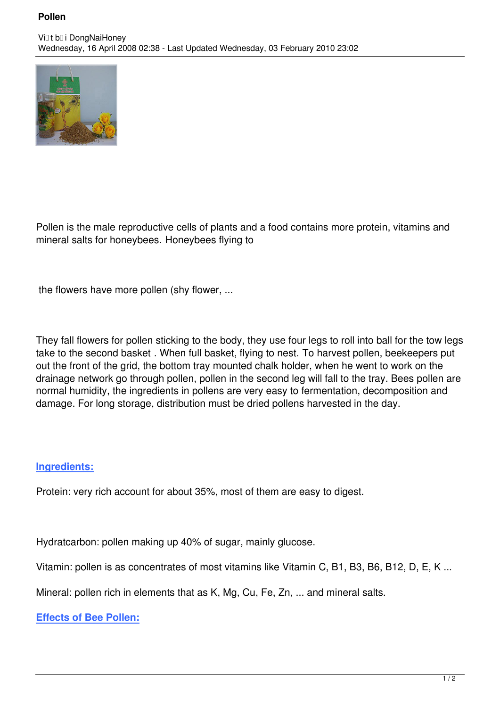## **Pollen**



Pollen is the male reproductive cells of plants and a food contains more protein, vitamins and mineral salts for honeybees. Honeybees flying to

the flowers have more pollen (shy flower, ...

They fall flowers for pollen sticking to the body, they use four legs to roll into ball for the tow legs take to the second basket . When full basket, flying to nest. To harvest pollen, beekeepers put out the front of the grid, the bottom tray mounted chalk holder, when he went to work on the drainage network go through pollen, pollen in the second leg will fall to the tray. Bees pollen are normal humidity, the ingredients in pollens are very easy to fermentation, decomposition and damage. For long storage, distribution must be dried pollens harvested in the day.

## **Ingredients:**

Protein: very rich account for about 35%, most of them are easy to digest.

Hydratcarbon: pollen making up 40% of sugar, mainly glucose.

Vitamin: pollen is as concentrates of most vitamins like Vitamin C, B1, B3, B6, B12, D, E, K ...

Mineral: pollen rich in elements that as K, Mg, Cu, Fe, Zn, ... and mineral salts.

**Effects of Bee Pollen:**